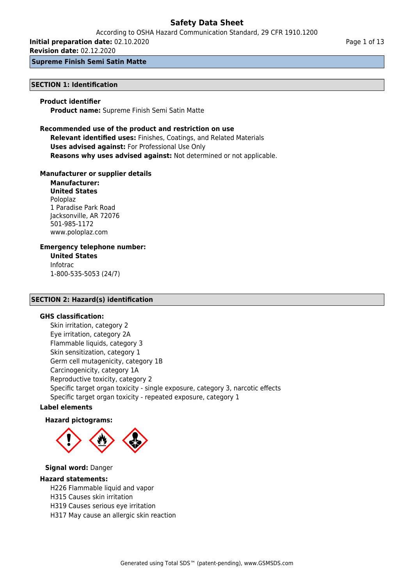According to OSHA Hazard Communication Standard, 29 CFR 1910.1200

**Initial preparation date:** 02.10.2020

**Revision date:** 02.12.2020

### **Supreme Finish Semi Satin Matte**

## **SECTION 1: Identification**

### **Product identifier**

**Product name:** Supreme Finish Semi Satin Matte

### **Recommended use of the product and restriction on use Relevant identified uses:** Finishes, Coatings, and Related Materials **Uses advised against:** For Professional Use Only **Reasons why uses advised against:** Not determined or not applicable.

### **Manufacturer or supplier details**

**Manufacturer: United States** Poloplaz 1 Paradise Park Road Jacksonville, AR 72076 501-985-1172 www.poloplaz.com

### **Emergency telephone number:**

**United States** Infotrac 1-800-535-5053 (24/7)

### **SECTION 2: Hazard(s) identification**

#### **GHS classification:**

Skin irritation, category 2 Eye irritation, category 2A Flammable liquids, category 3 Skin sensitization, category 1 Germ cell mutagenicity, category 1B Carcinogenicity, category 1A Reproductive toxicity, category 2 Specific target organ toxicity - single exposure, category 3, narcotic effects Specific target organ toxicity - repeated exposure, category 1

#### **Label elements**

#### **Hazard pictograms:**



#### **Signal word:** Danger

#### **Hazard statements:**

H226 Flammable liquid and vapor

- H315 Causes skin irritation
- H319 Causes serious eye irritation
- H317 May cause an allergic skin reaction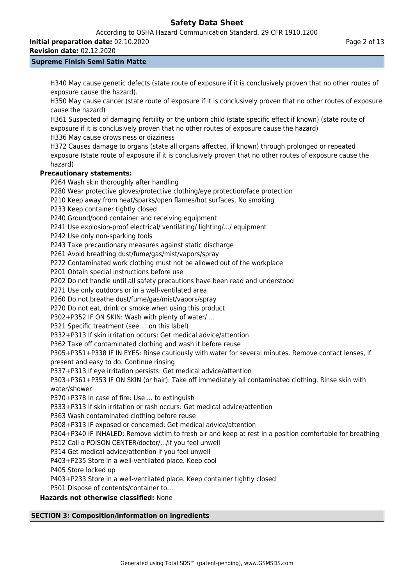According to OSHA Hazard Communication Standard, 29 CFR 1910.1200

**Initial preparation date:** 02.10.2020

**Revision date:** 02.12.2020

## **Supreme Finish Semi Satin Matte**

H340 May cause genetic defects (state route of exposure if it is conclusively proven that no other routes of exposure cause the hazard).

H350 May cause cancer (state route of exposure if it is conclusively proven that no other routes of exposure cause the hazard)

H361 Suspected of damaging fertility or the unborn child (state specific effect if known) (state route of exposure if it is conclusively proven that no other routes of exposure cause the hazard) H336 May cause drowsiness or dizziness

H372 Causes damage to organs (state all organs affected, if known) through prolonged or repeated exposure (state route of exposure if it is conclusively proven that no other routes of exposure cause the hazard)

## **Precautionary statements:**

P264 Wash skin thoroughly after handling

P280 Wear protective gloves/protective clothing/eye protection/face protection

P210 Keep away from heat/sparks/open flames/hot surfaces. No smoking

P233 Keep container tightly closed

P240 Ground/bond container and receiving equipment

P241 Use explosion-proof electrical/ ventilating/ lighting/.../ equipment

P242 Use only non-sparking tools

P243 Take precautionary measures against static discharge

P261 Avoid breathing dust/fume/gas/mist/vapors/spray

P272 Contaminated work clothing must not be allowed out of the workplace

P201 Obtain special instructions before use

P202 Do not handle until all safety precautions have been read and understood

P271 Use only outdoors or in a well-ventilated area

P260 Do not breathe dust/fume/gas/mist/vapors/spray

P270 Do not eat, drink or smoke when using this product

P302+P352 IF ON SKIN: Wash with plenty of water/ …

P321 Specific treatment (see ... on this label)

P332+P313 If skin irritation occurs: Get medical advice/attention

P362 Take off contaminated clothing and wash it before reuse

P305+P351+P338 IF IN EYES: Rinse cautiously with water for several minutes. Remove contact lenses, if present and easy to do. Continue rinsing

P337+P313 If eye irritation persists: Get medical advice/attention

P303+P361+P353 IF ON SKIN (or hair): Take off immediately all contaminated clothing. Rinse skin with water/shower

P370+P378 In case of fire: Use ... to extinguish

P333+P313 If skin irritation or rash occurs: Get medical advice/attention

P363 Wash contaminated clothing before reuse

P308+P313 IF exposed or concerned: Get medical advice/attention

P304+P340 IF INHALED: Remove victim to fresh air and keep at rest in a position comfortable for breathing

P312 Call a POISON CENTER/doctor/.../if you feel unwell

P314 Get medical advice/attention if you feel unwell

P403+P235 Store in a well-ventilated place. Keep cool

P405 Store locked up

P403+P233 Store in a well-ventilated place. Keep container tightly closed

P501 Dispose of contents/container to…

**Hazards not otherwise classified:** None

## **SECTION 3: Composition/information on ingredients**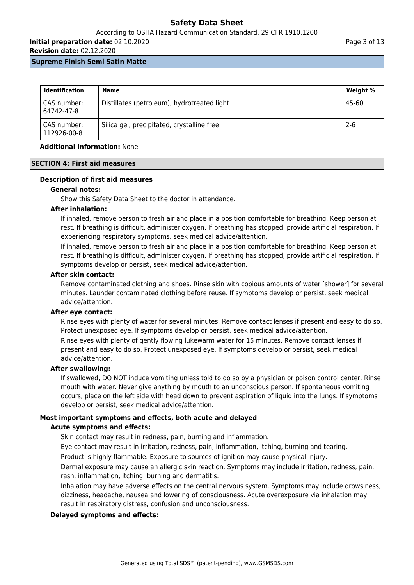## According to OSHA Hazard Communication Standard, 29 CFR 1910.1200

**Initial preparation date:** 02.10.2020

**Revision date:** 02.12.2020

#### **Supreme Finish Semi Satin Matte**

| <b>Identification</b>        | <b>Name</b>                                 | Weight % |
|------------------------------|---------------------------------------------|----------|
| CAS number:<br>64742-47-8    | Distillates (petroleum), hydrotreated light | 45-60    |
| ' CAS number:<br>112926-00-8 | Silica gel, precipitated, crystalline free  | $2 - 6$  |

### **Additional Information:** None

### **SECTION 4: First aid measures**

## **Description of first aid measures**

### **General notes:**

Show this Safety Data Sheet to the doctor in attendance.

### **After inhalation:**

If inhaled, remove person to fresh air and place in a position comfortable for breathing. Keep person at rest. If breathing is difficult, administer oxygen. If breathing has stopped, provide artificial respiration. If experiencing respiratory symptoms, seek medical advice/attention.

If inhaled, remove person to fresh air and place in a position comfortable for breathing. Keep person at rest. If breathing is difficult, administer oxygen. If breathing has stopped, provide artificial respiration. If symptoms develop or persist, seek medical advice/attention.

### **After skin contact:**

Remove contaminated clothing and shoes. Rinse skin with copious amounts of water [shower] for several minutes. Launder contaminated clothing before reuse. If symptoms develop or persist, seek medical advice/attention.

#### **After eye contact:**

Rinse eyes with plenty of water for several minutes. Remove contact lenses if present and easy to do so. Protect unexposed eye. If symptoms develop or persist, seek medical advice/attention.

Rinse eyes with plenty of gently flowing lukewarm water for 15 minutes. Remove contact lenses if present and easy to do so. Protect unexposed eye. If symptoms develop or persist, seek medical advice/attention.

## **After swallowing:**

If swallowed, DO NOT induce vomiting unless told to do so by a physician or poison control center. Rinse mouth with water. Never give anything by mouth to an unconscious person. If spontaneous vomiting occurs, place on the left side with head down to prevent aspiration of liquid into the lungs. If symptoms develop or persist, seek medical advice/attention.

## **Most important symptoms and effects, both acute and delayed**

#### **Acute symptoms and effects:**

Skin contact may result in redness, pain, burning and inflammation.

Eye contact may result in irritation, redness, pain, inflammation, itching, burning and tearing.

Product is highly flammable. Exposure to sources of ignition may cause physical injury.

Dermal exposure may cause an allergic skin reaction. Symptoms may include irritation, redness, pain, rash, inflammation, itching, burning and dermatitis.

Inhalation may have adverse effects on the central nervous system. Symptoms may include drowsiness, dizziness, headache, nausea and lowering of consciousness. Acute overexposure via inhalation may result in respiratory distress, confusion and unconsciousness.

## **Delayed symptoms and effects:**

Page 3 of 13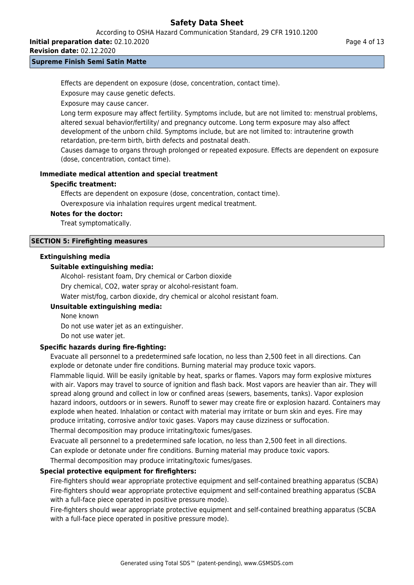According to OSHA Hazard Communication Standard, 29 CFR 1910.1200

**Initial preparation date:** 02.10.2020

**Revision date:** 02.12.2020

#### **Supreme Finish Semi Satin Matte**

Effects are dependent on exposure (dose, concentration, contact time).

Exposure may cause genetic defects.

Exposure may cause cancer.

Long term exposure may affect fertility. Symptoms include, but are not limited to: menstrual problems, altered sexual behavior/fertility/ and pregnancy outcome. Long term exposure may also affect development of the unborn child. Symptoms include, but are not limited to: intrauterine growth retardation, pre-term birth, birth defects and postnatal death.

Causes damage to organs through prolonged or repeated exposure. Effects are dependent on exposure (dose, concentration, contact time).

### **Immediate medical attention and special treatment**

### **Specific treatment:**

Effects are dependent on exposure (dose, concentration, contact time).

Overexposure via inhalation requires urgent medical treatment.

#### **Notes for the doctor:**

Treat symptomatically.

## **SECTION 5: Firefighting measures**

### **Extinguishing media**

### **Suitable extinguishing media:**

Alcohol- resistant foam, Dry chemical or Carbon dioxide Dry chemical, CO2, water spray or alcohol-resistant foam. Water mist/fog, carbon dioxide, dry chemical or alcohol resistant foam.

## **Unsuitable extinguishing media:**

None known

Do not use water jet as an extinguisher.

Do not use water jet.

## **Specific hazards during fire-fighting:**

Evacuate all personnel to a predetermined safe location, no less than 2,500 feet in all directions. Can explode or detonate under fire conditions. Burning material may produce toxic vapors.

Flammable liquid. Will be easily ignitable by heat, sparks or flames. Vapors may form explosive mixtures with air. Vapors may travel to source of ignition and flash back. Most vapors are heavier than air. They will spread along ground and collect in low or confined areas (sewers, basements, tanks). Vapor explosion hazard indoors, outdoors or in sewers. Runoff to sewer may create fire or explosion hazard. Containers may explode when heated. Inhalation or contact with material may irritate or burn skin and eyes. Fire may produce irritating, corrosive and/or toxic gases. Vapors may cause dizziness or suffocation.

Thermal decomposition may produce irritating/toxic fumes/gases.

Evacuate all personnel to a predetermined safe location, no less than 2,500 feet in all directions.

Can explode or detonate under fire conditions. Burning material may produce toxic vapors.

Thermal decomposition may produce irritating/toxic fumes/gases.

## **Special protective equipment for firefighters:**

Fire-fighters should wear appropriate protective equipment and self-contained breathing apparatus (SCBA) Fire-fighters should wear appropriate protective equipment and self-contained breathing apparatus (SCBA with a full-face piece operated in positive pressure mode).

Fire-fighters should wear appropriate protective equipment and self-contained breathing apparatus (SCBA with a full-face piece operated in positive pressure mode).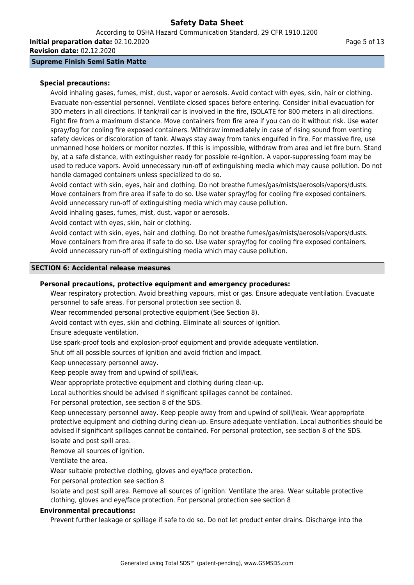According to OSHA Hazard Communication Standard, 29 CFR 1910.1200 **Initial preparation date:** 02.10.2020

**Revision date:** 02.12.2020

## **Supreme Finish Semi Satin Matte**

## **Special precautions:**

Avoid inhaling gases, fumes, mist, dust, vapor or aerosols. Avoid contact with eyes, skin, hair or clothing. Evacuate non-essential personnel. Ventilate closed spaces before entering. Consider initial evacuation for 300 meters in all directions. If tank/rail car is involved in the fire, ISOLATE for 800 meters in all directions. Fight fire from a maximum distance. Move containers from fire area if you can do it without risk. Use water spray/fog for cooling fire exposed containers. Withdraw immediately in case of rising sound from venting safety devices or discoloration of tank. Always stay away from tanks engulfed in fire. For massive fire, use unmanned hose holders or monitor nozzles. If this is impossible, withdraw from area and let fire burn. Stand by, at a safe distance, with extinguisher ready for possible re-ignition. A vapor-suppressing foam may be used to reduce vapors. Avoid unnecessary run-off of extinguishing media which may cause pollution. Do not handle damaged containers unless specialized to do so.

Avoid contact with skin, eyes, hair and clothing. Do not breathe fumes/gas/mists/aerosols/vapors/dusts. Move containers from fire area if safe to do so. Use water spray/fog for cooling fire exposed containers. Avoid unnecessary run-off of extinguishing media which may cause pollution.

Avoid inhaling gases, fumes, mist, dust, vapor or aerosols.

Avoid contact with eyes, skin, hair or clothing.

Avoid contact with skin, eyes, hair and clothing. Do not breathe fumes/gas/mists/aerosols/vapors/dusts. Move containers from fire area if safe to do so. Use water spray/fog for cooling fire exposed containers. Avoid unnecessary run-off of extinguishing media which may cause pollution.

### **SECTION 6: Accidental release measures**

### **Personal precautions, protective equipment and emergency procedures:**

Wear respiratory protection. Avoid breathing vapours, mist or gas. Ensure adequate ventilation. Evacuate personnel to safe areas. For personal protection see section 8.

Wear recommended personal protective equipment (See Section 8).

Avoid contact with eyes, skin and clothing. Eliminate all sources of ignition.

Ensure adequate ventilation.

Use spark-proof tools and explosion-proof equipment and provide adequate ventilation.

Shut off all possible sources of ignition and avoid friction and impact.

Keep unnecessary personnel away.

Keep people away from and upwind of spill/leak.

Wear appropriate protective equipment and clothing during clean-up.

Local authorities should be advised if significant spillages cannot be contained.

For personal protection, see section 8 of the SDS.

Keep unnecessary personnel away. Keep people away from and upwind of spill/leak. Wear appropriate protective equipment and clothing during clean-up. Ensure adequate ventilation. Local authorities should be advised if significant spillages cannot be contained. For personal protection, see section 8 of the SDS. Isolate and post spill area.

Remove all sources of ignition.

Ventilate the area.

Wear suitable protective clothing, gloves and eye/face protection.

For personal protection see section 8

Isolate and post spill area. Remove all sources of ignition. Ventilate the area. Wear suitable protective clothing, gloves and eye/face protection. For personal protection see section 8

#### **Environmental precautions:**

Prevent further leakage or spillage if safe to do so. Do not let product enter drains. Discharge into the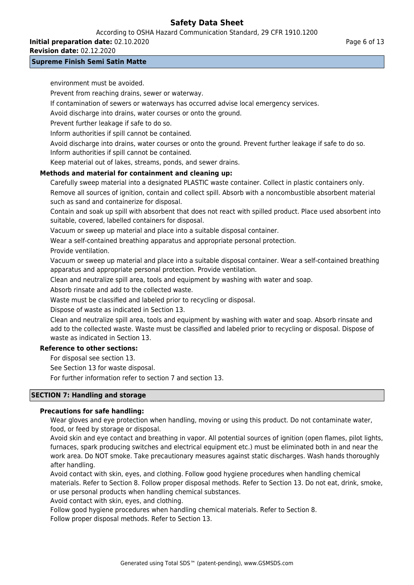According to OSHA Hazard Communication Standard, 29 CFR 1910.1200

**Initial preparation date:** 02.10.2020

**Revision date:** 02.12.2020

### **Supreme Finish Semi Satin Matte**

environment must be avoided.

Prevent from reaching drains, sewer or waterway.

If contamination of sewers or waterways has occurred advise local emergency services.

Avoid discharge into drains, water courses or onto the ground.

Prevent further leakage if safe to do so.

Inform authorities if spill cannot be contained.

Avoid discharge into drains, water courses or onto the ground. Prevent further leakage if safe to do so. Inform authorities if spill cannot be contained.

Keep material out of lakes, streams, ponds, and sewer drains.

## **Methods and material for containment and cleaning up:**

Carefully sweep material into a designated PLASTIC waste container. Collect in plastic containers only. Remove all sources of ignition, contain and collect spill. Absorb with a noncombustible absorbent material such as sand and containerize for disposal.

Contain and soak up spill with absorbent that does not react with spilled product. Place used absorbent into suitable, covered, labelled containers for disposal.

Vacuum or sweep up material and place into a suitable disposal container.

Wear a self-contained breathing apparatus and appropriate personal protection.

Provide ventilation.

Vacuum or sweep up material and place into a suitable disposal container. Wear a self-contained breathing apparatus and appropriate personal protection. Provide ventilation.

Clean and neutralize spill area, tools and equipment by washing with water and soap.

Absorb rinsate and add to the collected waste.

Waste must be classified and labeled prior to recycling or disposal.

Dispose of waste as indicated in Section 13.

Clean and neutralize spill area, tools and equipment by washing with water and soap. Absorb rinsate and add to the collected waste. Waste must be classified and labeled prior to recycling or disposal. Dispose of waste as indicated in Section 13.

## **Reference to other sections:**

For disposal see section 13.

See Section 13 for waste disposal.

For further information refer to section 7 and section 13.

## **SECTION 7: Handling and storage**

## **Precautions for safe handling:**

Wear gloves and eye protection when handling, moving or using this product. Do not contaminate water, food, or feed by storage or disposal.

Avoid skin and eye contact and breathing in vapor. All potential sources of ignition (open flames, pilot lights, furnaces, spark producing switches and electrical equipment etc.) must be eliminated both in and near the work area. Do NOT smoke. Take precautionary measures against static discharges. Wash hands thoroughly after handling.

Avoid contact with skin, eyes, and clothing. Follow good hygiene procedures when handling chemical materials. Refer to Section 8. Follow proper disposal methods. Refer to Section 13. Do not eat, drink, smoke, or use personal products when handling chemical substances.

Avoid contact with skin, eyes, and clothing.

Follow good hygiene procedures when handling chemical materials. Refer to Section 8. Follow proper disposal methods. Refer to Section 13.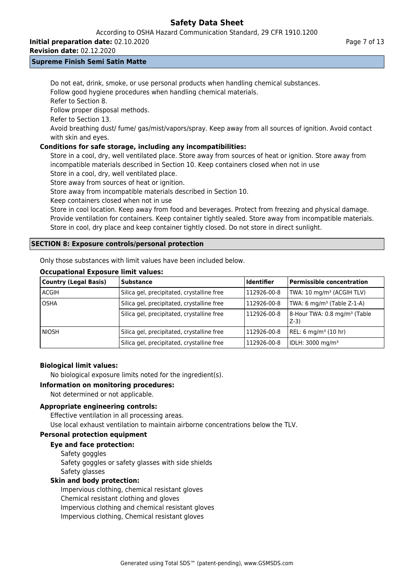According to OSHA Hazard Communication Standard, 29 CFR 1910.1200

**Initial preparation date:** 02.10.2020

**Revision date:** 02.12.2020

## **Supreme Finish Semi Satin Matte**

Do not eat, drink, smoke, or use personal products when handling chemical substances. Follow good hygiene procedures when handling chemical materials.

Refer to Section 8.

Follow proper disposal methods.

Refer to Section 13.

Avoid breathing dust/ fume/ gas/mist/vapors/spray. Keep away from all sources of ignition. Avoid contact with skin and eyes.

## **Conditions for safe storage, including any incompatibilities:**

Store in a cool, dry, well ventilated place. Store away from sources of heat or ignition. Store away from incompatible materials described in Section 10. Keep containers closed when not in use Store in a cool, dry, well ventilated place.

Store away from sources of heat or ignition.

Store away from incompatible materials described in Section 10.

Keep containers closed when not in use

Store in cool location. Keep away from food and beverages. Protect from freezing and physical damage. Provide ventilation for containers. Keep container tightly sealed. Store away from incompatible materials. Store in cool, dry place and keep container tightly closed. Do not store in direct sunlight.

## **SECTION 8: Exposure controls/personal protection**

Only those substances with limit values have been included below.

## **Occupational Exposure limit values:**

| Country (Legal Basis) | <b>Substance</b>                           | <b>Identifier</b> | <b>Permissible concentration</b>                  |
|-----------------------|--------------------------------------------|-------------------|---------------------------------------------------|
| l ACGIH               | Silica gel, precipitated, crystalline free | 112926-00-8       | TWA: 10 mg/m <sup>3</sup> (ACGIH TLV)             |
| <b>OSHA</b>           | Silica gel, precipitated, crystalline free | 112926-00-8       | TWA: 6 mg/m <sup>3</sup> (Table Z-1-A)            |
|                       | Silica gel, precipitated, crystalline free | 112926-00-8       | 8-Hour TWA: 0.8 mg/m <sup>3</sup> (Table<br>$Z-3$ |
| l NIOSH               | Silica gel, precipitated, crystalline free | 112926-00-8       | REL: 6 mg/m <sup>3</sup> (10 hr)                  |
|                       | Silica gel, precipitated, crystalline free | 112926-00-8       | IDLH: 3000 mg/m <sup>3</sup>                      |

## **Biological limit values:**

No biological exposure limits noted for the ingredient(s).

## **Information on monitoring procedures:**

Not determined or not applicable.

## **Appropriate engineering controls:**

Effective ventilation in all processing areas.

Use local exhaust ventilation to maintain airborne concentrations below the TLV.

## **Personal protection equipment**

## **Eye and face protection:**

Safety goggles Safety goggles or safety glasses with side shields Safety glasses

## **Skin and body protection:**

Impervious clothing, chemical resistant gloves Chemical resistant clothing and gloves Impervious clothing and chemical resistant gloves Impervious clothing, Chemical resistant gloves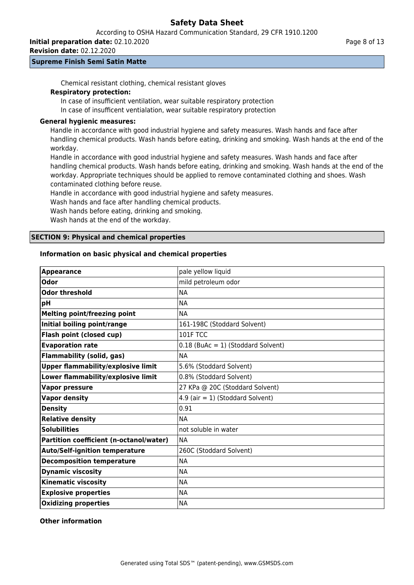According to OSHA Hazard Communication Standard, 29 CFR 1910.1200

**Initial preparation date:** 02.10.2020

**Revision date:** 02.12.2020

### **Supreme Finish Semi Satin Matte**

Chemical resistant clothing, chemical resistant gloves

## **Respiratory protection:**

In case of insufficient ventilation, wear suitable respiratory protection

In case of insufficent ventialation, wear suitable respiratory protection

### **General hygienic measures:**

Handle in accordance with good industrial hygiene and safety measures. Wash hands and face after handling chemical products. Wash hands before eating, drinking and smoking. Wash hands at the end of the workday.

Handle in accordance with good industrial hygiene and safety measures. Wash hands and face after handling chemical products. Wash hands before eating, drinking and smoking. Wash hands at the end of the workday. Appropriate techniques should be applied to remove contaminated clothing and shoes. Wash contaminated clothing before reuse.

Handle in accordance with good industrial hygiene and safety measures.

Wash hands and face after handling chemical products.

Wash hands before eating, drinking and smoking.

Wash hands at the end of the workday.

### **SECTION 9: Physical and chemical properties**

## **Information on basic physical and chemical properties**

| <b>Appearance</b>                         | pale yellow liquid                   |
|-------------------------------------------|--------------------------------------|
| Odor                                      | mild petroleum odor                  |
| <b>Odor threshold</b>                     | <b>NA</b>                            |
| pH                                        | <b>NA</b>                            |
| <b>Melting point/freezing point</b>       | <b>NA</b>                            |
| Initial boiling point/range               | 161-198C (Stoddard Solvent)          |
| <b>Flash point (closed cup)</b>           | 101F TCC                             |
| <b>Evaporation rate</b>                   | $0.18$ (BuAc = 1) (Stoddard Solvent) |
| <b>Flammability (solid, gas)</b>          | <b>NA</b>                            |
| <b>Upper flammability/explosive limit</b> | 5.6% (Stoddard Solvent)              |
| Lower flammability/explosive limit        | 0.8% (Stoddard Solvent)              |
| <b>Vapor pressure</b>                     | 27 KPa @ 20C (Stoddard Solvent)      |
| <b>Vapor density</b>                      | 4.9 (air = $1)$ (Stoddard Solvent)   |
| <b>Density</b>                            | 0.91                                 |
| <b>Relative density</b>                   | <b>NA</b>                            |
| <b>Solubilities</b>                       | not soluble in water                 |
| Partition coefficient (n-octanol/water)   | <b>NA</b>                            |
| <b>Auto/Self-ignition temperature</b>     | 260C (Stoddard Solvent)              |
| <b>Decomposition temperature</b>          | <b>NA</b>                            |
| <b>Dynamic viscosity</b>                  | <b>NA</b>                            |
| <b>Kinematic viscosity</b>                | <b>NA</b>                            |
| <b>Explosive properties</b>               | <b>NA</b>                            |
| <b>Oxidizing properties</b>               | <b>NA</b>                            |

### **Other information**

Page 8 of 13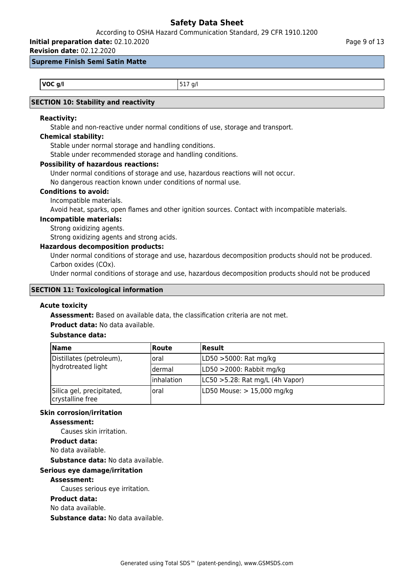According to OSHA Hazard Communication Standard, 29 CFR 1910.1200

# **Initial preparation date:** 02.10.2020

**Revision date:** 02.12.2020

#### **Supreme Finish Semi Satin Matte**

**VOC g/l** 517 g/l

## **SECTION 10: Stability and reactivity**

## **Reactivity:**

Stable and non-reactive under normal conditions of use, storage and transport.

#### **Chemical stability:**

Stable under normal storage and handling conditions.

Stable under recommended storage and handling conditions.

## **Possibility of hazardous reactions:**

Under normal conditions of storage and use, hazardous reactions will not occur.

No dangerous reaction known under conditions of normal use.

#### **Conditions to avoid:**

Incompatible materials.

Avoid heat, sparks, open flames and other ignition sources. Contact with incompatible materials.

#### **Incompatible materials:**

Strong oxidizing agents.

Strong oxidizing agents and strong acids.

### **Hazardous decomposition products:**

Under normal conditions of storage and use, hazardous decomposition products should not be produced. Carbon oxides (COx).

Under normal conditions of storage and use, hazardous decomposition products should not be produced

#### **SECTION 11: Toxicological information**

#### **Acute toxicity**

**Assessment:** Based on available data, the classification criteria are not met.

**Product data:** No data available.

### **Substance data:**

| <b>Name</b><br>l Route                        |            | Result                               |  |
|-----------------------------------------------|------------|--------------------------------------|--|
| Distillates (petroleum),                      | loral      | LD50 >5000: Rat mg/kg                |  |
| hydrotreated light                            | ldermal    | LD50 >2000: Rabbit mg/kg             |  |
|                                               | Inhalation | $ LC50 > 5.28$ : Rat mg/L (4h Vapor) |  |
| Silica gel, precipitated,<br>crystalline free | loral      | LD50 Mouse: > 15,000 mg/kg           |  |

#### **Skin corrosion/irritation**

#### **Assessment:**

Causes skin irritation.

**Product data:**

No data available.

**Substance data:** No data available.

#### **Serious eye damage/irritation**

#### **Assessment:**

Causes serious eye irritation.

## **Product data:**

No data available.

**Substance data:** No data available.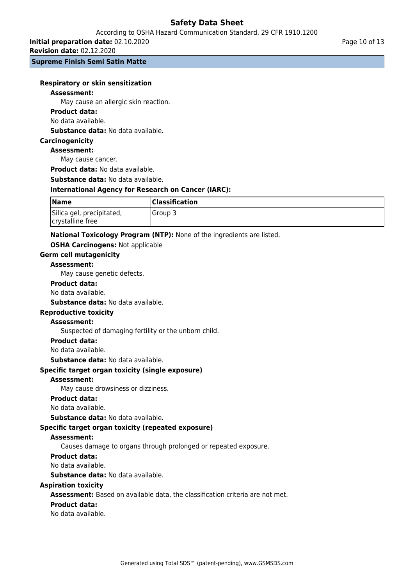**Initial preparation date:** 02.10.2020

**Revision date:** 02.12.2020

**Supreme Finish Semi Satin Matte**

|  |  |  | <b>Respiratory or skin sensitization</b> |
|--|--|--|------------------------------------------|
|--|--|--|------------------------------------------|

#### **Assessment:**

May cause an allergic skin reaction.

#### **Product data:**

No data available.

**Substance data:** No data available.

#### **Carcinogenicity**

#### **Assessment:**

May cause cancer.

**Product data:** No data available.

**Substance data:** No data available.

#### **International Agency for Research on Cancer (IARC):**

| <b>Name</b>                                   | <b>Classification</b> |
|-----------------------------------------------|-----------------------|
| Silica gel, precipitated,<br>crystalline free | <b>IGroup 3</b>       |

#### **National Toxicology Program (NTP):** None of the ingredients are listed.

#### **OSHA Carcinogens:** Not applicable

**Germ cell mutagenicity**

#### **Assessment:**

May cause genetic defects.

#### **Product data:**

## No data available.

**Substance data:** No data available.

#### **Reproductive toxicity**

#### **Assessment:**

Suspected of damaging fertility or the unborn child.

#### **Product data:**

No data available.

**Substance data:** No data available.

#### **Specific target organ toxicity (single exposure)**

#### **Assessment:**

May cause drowsiness or dizziness.

#### **Product data:**

No data available.

**Substance data:** No data available.

#### **Specific target organ toxicity (repeated exposure)**

#### **Assessment:**

Causes damage to organs through prolonged or repeated exposure.

#### **Product data:**

No data available.

**Substance data:** No data available.

#### **Aspiration toxicity**

**Assessment:** Based on available data, the classification criteria are not met.

#### **Product data:**

No data available.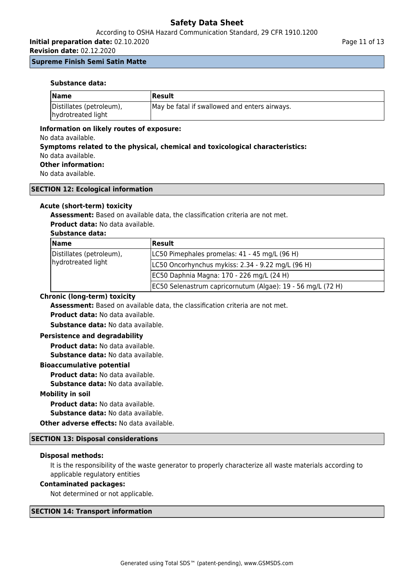## According to OSHA Hazard Communication Standard, 29 CFR 1910.1200

**Initial preparation date:** 02.10.2020

**Revision date:** 02.12.2020

#### **Supreme Finish Semi Satin Matte**

#### **Substance data:**

| <b>Name</b>                                    | <b> Result</b>                                |
|------------------------------------------------|-----------------------------------------------|
| Distillates (petroleum),<br>hydrotreated light | May be fatal if swallowed and enters airways. |

#### **Information on likely routes of exposure:**

No data available.

**Symptoms related to the physical, chemical and toxicological characteristics:** No data available.

## **Other information:**

No data available.

#### **SECTION 12: Ecological information**

### **Acute (short-term) toxicity**

**Assessment:** Based on available data, the classification criteria are not met.

**Product data:** No data available.

## **Substance data:**

| <b>Name</b>              | Result                                                      |  |
|--------------------------|-------------------------------------------------------------|--|
| Distillates (petroleum), | LC50 Pimephales promelas: 41 - 45 mg/L (96 H)               |  |
| hydrotreated light       | LC50 Oncorhynchus mykiss: 2.34 - 9.22 mg/L (96 H)           |  |
|                          | EC50 Daphnia Magna: 170 - 226 mg/L (24 H)                   |  |
|                          | EC50 Selenastrum capricornutum (Algae): 19 - 56 mg/L (72 H) |  |

#### **Chronic (long-term) toxicity**

**Assessment:** Based on available data, the classification criteria are not met.

**Product data:** No data available.

**Substance data:** No data available.

#### **Persistence and degradability**

**Product data:** No data available. **Substance data:** No data available.

#### **Bioaccumulative potential**

**Product data:** No data available. **Substance data:** No data available.

#### **Mobility in soil**

**Product data:** No data available.

**Substance data:** No data available.

**Other adverse effects:** No data available.

#### **SECTION 13: Disposal considerations**

#### **Disposal methods:**

It is the responsibility of the waste generator to properly characterize all waste materials according to applicable regulatory entities

#### **Contaminated packages:**

Not determined or not applicable.

#### **SECTION 14: Transport information**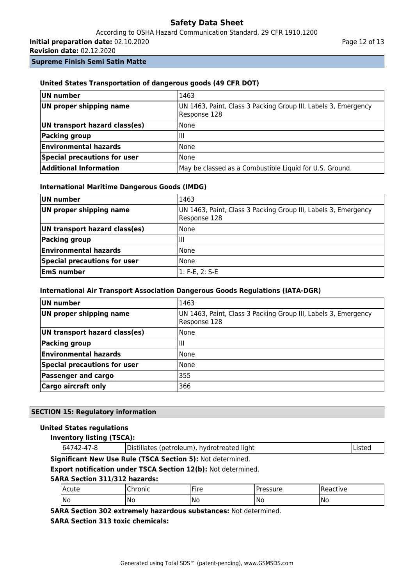According to OSHA Hazard Communication Standard, 29 CFR 1910.1200 **Initial preparation date:** 02.10.2020

**Revision date:** 02.12.2020

**Supreme Finish Semi Satin Matte**

# **UN number** 1463 **UN proper shipping name** | UN 1463, Paint, Class 3 Packing Group III, Labels 3, Emergency Response 128 **UN transport hazard class(es)** None **Packing group**  $\vert$  III **Environmental hazards** None **Special precautions for user** None **Additional Information** May be classed as a Combustible Liquid for U.S. Ground.

## **United States Transportation of dangerous goods (49 CFR DOT)**

| <b>International Maritime Dangerous Goods (IMDG)</b> |  |  |  |  |  |
|------------------------------------------------------|--|--|--|--|--|
|------------------------------------------------------|--|--|--|--|--|

| UN number                     | 1463                                                                           |
|-------------------------------|--------------------------------------------------------------------------------|
| UN proper shipping name       | UN 1463, Paint, Class 3 Packing Group III, Labels 3, Emergency<br>Response 128 |
| UN transport hazard class(es) | l None                                                                         |
| <b>Packing group</b>          | ШI                                                                             |
| <b>Environmental hazards</b>  | None                                                                           |
| Special precautions for user  | None                                                                           |
| <b>EmS</b> number             | l1: F-E, 2: S-E                                                                |

## **International Air Transport Association Dangerous Goods Regulations (IATA-DGR)**

| UN number                           | 1463                                                                           |
|-------------------------------------|--------------------------------------------------------------------------------|
| UN proper shipping name             | UN 1463, Paint, Class 3 Packing Group III, Labels 3, Emergency<br>Response 128 |
| UN transport hazard class(es)       | <b>None</b>                                                                    |
| Packing group                       | ШI                                                                             |
| <b>Environmental hazards</b>        | None                                                                           |
| <b>Special precautions for user</b> | <b>None</b>                                                                    |
| <b>Passenger and cargo</b>          | 355                                                                            |
| <b>Cargo aircraft only</b>          | 366                                                                            |

## **SECTION 15: Regulatory information**

#### **United States regulations**

|  |  |  |  | <b>Inventory listing (TSCA):</b> |
|--|--|--|--|----------------------------------|
|--|--|--|--|----------------------------------|

| 64742-47-8 | Distillates (petroleum), hydrotreated light | <b>Listed</b> |
|------------|---------------------------------------------|---------------|
|            |                                             |               |

**Significant New Use Rule (TSCA Section 5):** Not determined.

**Export notification under TSCA Section 12(b):** Not determined.

## **SARA Section 311/312 hazards:**

| l Acute | 5.0001<br>unu | $\cdots$<br>IFire<br>ᆢ | `ACCLITA<br>,,,, | ictive<br>-11 |
|---------|---------------|------------------------|------------------|---------------|
| No      | 'No           | No                     | -No              | No<br>__      |

**SARA Section 302 extremely hazardous substances:** Not determined.

**SARA Section 313 toxic chemicals:**